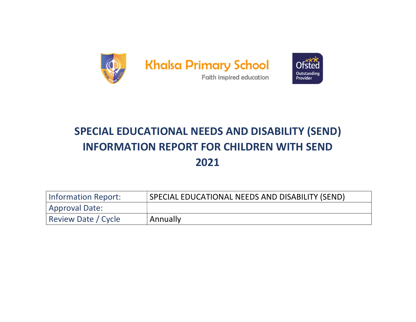

# SPECIAL EDUCATIONAL NEEDS AND DISABILITY (SEND) INFORMATION REPORT FOR CHILDREN WITH SEND 2021

| Information Report:        | SPECIAL EDUCATIONAL NEEDS AND DISABILITY (SEND) |
|----------------------------|-------------------------------------------------|
| Approval Date:             |                                                 |
| <b>Review Date / Cycle</b> | Annually                                        |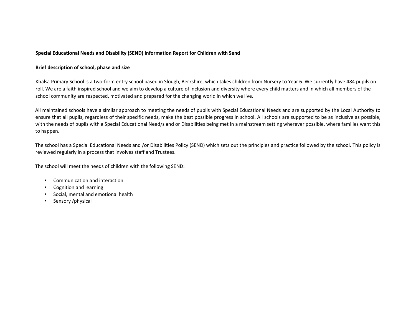# Special Educational Needs and Disability (SEND) Information Report for Children with Send

# Brief description of school, phase and size

Khalsa Primary School is a two-form entry school based in Slough, Berkshire, which takes children from Nursery to Year 6. We currently have 484 pupils on roll. We are a faith inspired school and we aim to develop a culture of inclusion and diversity where every child matters and in which all members of the school community are respected, motivated and prepared for the changing world in which we live.

All maintained schools have a similar approach to meeting the needs of pupils with Special Educational Needs and are supported by the Local Authority to ensure that all pupils, regardless of their specific needs, make the best possible progress in school. All schools are supported to be as inclusive as possible, with the needs of pupils with a Special Educational Need/s and or Disabilities being met in a mainstream setting wherever possible, where families want this to happen.

The school has a Special Educational Needs and /or Disabilities Policy (SEND) which sets out the principles and practice followed by the school. This policy is reviewed regularly in a process that involves staff and Trustees.

The school will meet the needs of children with the following SEND:

- Communication and interaction
- Cognition and learning
- Social, mental and emotional health
- Sensory /physical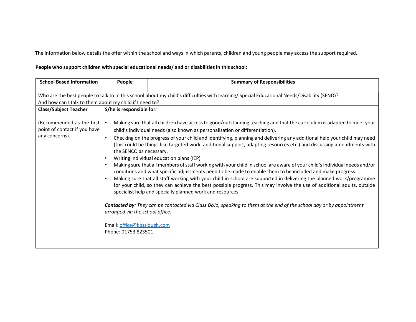The information below details the offer within the school and ways in which parents, children and young people may access the support required.

# People who support children with special educational needs/ and or disabilities in this school:

| <b>School Based Information</b>                                             | People                                                                                                                                                                                                                             | <b>Summary of Responsibilities</b>                                                                                                                                                                                                                                                                                                                                                                                                                                                                                                                                                                                                                                                                                                                                                                                                                                                                                                                                                                                                                                                                                                                                                    |  |  |
|-----------------------------------------------------------------------------|------------------------------------------------------------------------------------------------------------------------------------------------------------------------------------------------------------------------------------|---------------------------------------------------------------------------------------------------------------------------------------------------------------------------------------------------------------------------------------------------------------------------------------------------------------------------------------------------------------------------------------------------------------------------------------------------------------------------------------------------------------------------------------------------------------------------------------------------------------------------------------------------------------------------------------------------------------------------------------------------------------------------------------------------------------------------------------------------------------------------------------------------------------------------------------------------------------------------------------------------------------------------------------------------------------------------------------------------------------------------------------------------------------------------------------|--|--|
| <b>Class/Subject Teacher</b>                                                | Who are the best people to talk to in this school about my child's difficulties with learning/ Special Educational Needs/Disability (SEND)?<br>And how can I talk to them about my child if I need to?<br>S/he is responsible for: |                                                                                                                                                                                                                                                                                                                                                                                                                                                                                                                                                                                                                                                                                                                                                                                                                                                                                                                                                                                                                                                                                                                                                                                       |  |  |
| (Recommended as the first<br>point of contact if you have<br>any concerns). | the SENCO as necessary.<br>٠<br>arranged via the school office.<br>Email: office@kpsslough.com<br>Phone: 01753 823501                                                                                                              | Making sure that all children have access to good/outstanding teaching and that the curriculum is adapted to meet your<br>child's individual needs (also known as personalisation or differentiation).<br>Checking on the progress of your child and identifying, planning and delivering any additional help your child may need<br>(this could be things like targeted work, additional support, adapting resources etc.) and discussing amendments with<br>Writing individual education plans (IEP)<br>Making sure that all members of staff working with your child in school are aware of your child's individual needs and/or<br>conditions and what specific adjustments need to be made to enable them to be included and make progress.<br>Making sure that all staff working with your child in school are supported in delivering the planned work/programme<br>for your child, so they can achieve the best possible progress. This may involve the use of additional adults, outside<br>specialist help and specially planned work and resources.<br>Contacted by: They can be contacted via Class DoJo, speaking to them at the end of the school day or by appointment |  |  |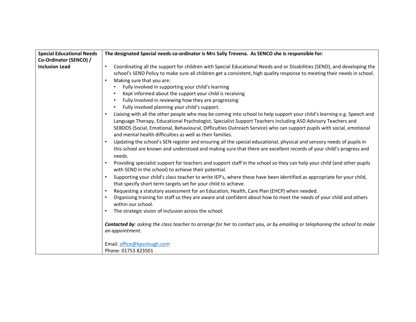| <b>Special Educational Needs</b> | The designated Special needs co-ordinator is Mrs Sally Trevena. As SENCO she is responsible for:                                                                                                                                                                                                                                                                                                                           |
|----------------------------------|----------------------------------------------------------------------------------------------------------------------------------------------------------------------------------------------------------------------------------------------------------------------------------------------------------------------------------------------------------------------------------------------------------------------------|
| Co-Ordinator (SENCO) /           |                                                                                                                                                                                                                                                                                                                                                                                                                            |
| <b>Inclusion Lead</b>            | Coordinating all the support for children with Special Educational Needs and or Disabilities (SEND), and developing the<br>$\bullet$<br>school's SEND Policy to make sure all children get a consistent, high quality response to meeting their needs in school.                                                                                                                                                           |
|                                  | Making sure that you are:<br>$\bullet$<br>Fully involved in supporting your child's learning                                                                                                                                                                                                                                                                                                                               |
|                                  | Kept informed about the support your child is receiving                                                                                                                                                                                                                                                                                                                                                                    |
|                                  | Fully Involved in reviewing how they are progressing                                                                                                                                                                                                                                                                                                                                                                       |
|                                  | Fully involved planning your child's support.<br>$\bullet$                                                                                                                                                                                                                                                                                                                                                                 |
|                                  | Liaising with all the other people who may be coming into school to help support your child's learning e.g. Speech and<br>Language Therapy, Educational Psychologist, Specialist Support Teachers including ASD Advisory Teachers and<br>SEBDOS (Social, Emotional, Behavioural, Difficulties Outreach Service) who can support pupils with social, emotional<br>and mental health difficulties as well as their families. |
|                                  | Updating the school's SEN register and ensuring all the special educational, physical and sensory needs of pupils in                                                                                                                                                                                                                                                                                                       |
|                                  | this school are known and understood and making sure that there are excellent records of your child's progress and<br>needs.                                                                                                                                                                                                                                                                                               |
|                                  | Providing specialist support for teachers and support staff in the school so they can help your child (and other pupils<br>$\bullet$<br>with SEND in the school) to achieve their potential.                                                                                                                                                                                                                               |
|                                  | Supporting your child's class teacher to write IEP's, where these have been identified as appropriate for your child,<br>$\bullet$<br>that specify short term targets set for your child to achieve.                                                                                                                                                                                                                       |
|                                  | Requesting a statutory assessment for an Education, Health, Care Plan (EHCP) when needed.                                                                                                                                                                                                                                                                                                                                  |
|                                  | Organising training for staff so they are aware and confident about how to meet the needs of your child and others<br>$\bullet$<br>within our school.                                                                                                                                                                                                                                                                      |
|                                  | The strategic vision of inclusion across the school.<br>$\bullet$                                                                                                                                                                                                                                                                                                                                                          |
|                                  | Contacted by: asking the class teacher to arrange for her to contact you, or by emailing or telephoning the school to make<br>an appointment.                                                                                                                                                                                                                                                                              |
|                                  | Email: office@kpsslough.com                                                                                                                                                                                                                                                                                                                                                                                                |
|                                  | Phone: 01753 823501                                                                                                                                                                                                                                                                                                                                                                                                        |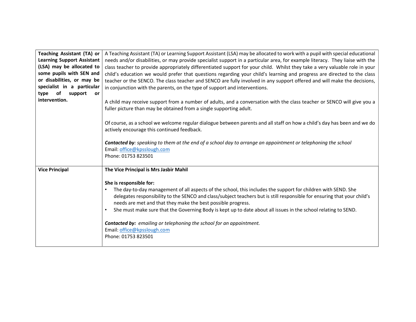| Teaching Assistant (TA) or<br><b>Learning Support Assistant</b><br>(LSA) may be allocated to<br>some pupils with SEN and<br>or disabilities, or may be<br>specialist in a particular<br>support<br>of<br>type<br><b>or</b><br>intervention. | A Teaching Assistant (TA) or Learning Support Assistant (LSA) may be allocated to work with a pupil with special educational<br>needs and/or disabilities, or may provide specialist support in a particular area, for example literacy. They liaise with the<br>class teacher to provide appropriately differentiated support for your child. Whilst they take a very valuable role in your<br>child's education we would prefer that questions regarding your child's learning and progress are directed to the class<br>teacher or the SENCO. The class teacher and SENCO are fully involved in any support offered and will make the decisions,<br>in conjunction with the parents, on the type of support and interventions.<br>A child may receive support from a number of adults, and a conversation with the class teacher or SENCO will give you a<br>fuller picture than may be obtained from a single supporting adult. |
|---------------------------------------------------------------------------------------------------------------------------------------------------------------------------------------------------------------------------------------------|-------------------------------------------------------------------------------------------------------------------------------------------------------------------------------------------------------------------------------------------------------------------------------------------------------------------------------------------------------------------------------------------------------------------------------------------------------------------------------------------------------------------------------------------------------------------------------------------------------------------------------------------------------------------------------------------------------------------------------------------------------------------------------------------------------------------------------------------------------------------------------------------------------------------------------------|
|                                                                                                                                                                                                                                             | Of course, as a school we welcome regular dialogue between parents and all staff on how a child's day has been and we do<br>actively encourage this continued feedback.<br>Contacted by: speaking to them at the end of a school day to arrange an appointment or telephoning the school<br>Email: office@kpsslough.com<br>Phone: 01753 823501                                                                                                                                                                                                                                                                                                                                                                                                                                                                                                                                                                                      |
| <b>Vice Principal</b>                                                                                                                                                                                                                       | The Vice Principal is Mrs Jasbir Mahil<br>She is responsible for:<br>The day-to-day management of all aspects of the school, this includes the support for children with SEND. She<br>delegates responsibility to the SENCO and class/subject teachers but is still responsible for ensuring that your child's<br>needs are met and that they make the best possible progress.<br>She must make sure that the Governing Body is kept up to date about all issues in the school relating to SEND.<br>$\bullet$<br><b>Contacted by:</b> emailing or telephoning the school for an appointment.<br>Email: office@kpsslough.com<br>Phone: 01753 823501                                                                                                                                                                                                                                                                                  |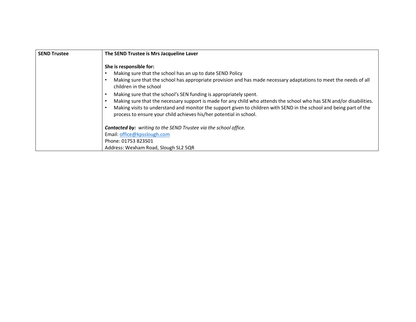| <b>SEND Trustee</b> | The SEND Trustee is Mrs Jacqueline Laver                                                                                                                                                                                                                                                                                                                                                                                                                                                                                                                                                                                      |
|---------------------|-------------------------------------------------------------------------------------------------------------------------------------------------------------------------------------------------------------------------------------------------------------------------------------------------------------------------------------------------------------------------------------------------------------------------------------------------------------------------------------------------------------------------------------------------------------------------------------------------------------------------------|
|                     | She is responsible for:<br>Making sure that the school has an up to date SEND Policy<br>Making sure that the school has appropriate provision and has made necessary adaptations to meet the needs of all<br>children in the school<br>Making sure that the school's SEN funding is appropriately spent.<br>Making sure that the necessary support is made for any child who attends the school who has SEN and/or disabilities.<br>Making visits to understand and monitor the support given to children with SEND in the school and being part of the<br>process to ensure your child achieves his/her potential in school. |
|                     | <b>Contacted by:</b> writing to the SEND Trustee via the school office.<br>Email: office@kpsslough.com<br>Phone: 01753 823501<br>Address: Wexham Road, Slough SL2 5QR                                                                                                                                                                                                                                                                                                                                                                                                                                                         |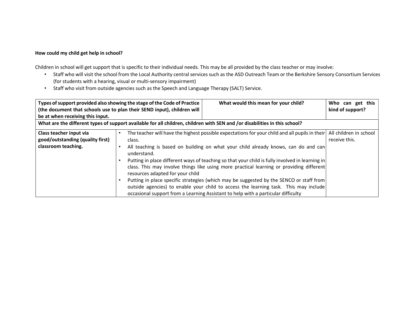# How could my child get help in school?

Children in school will get support that is specific to their individual needs. This may be all provided by the class teacher or may involve:

- Staff who will visit the school from the Local Authority central services such as the ASD Outreach Team or the Berkshire Sensory Consortium Services (for students with a hearing, visual or multi-sensory impairment)
- Staff who visit from outside agencies such as the Speech and Language Therapy (SALT) Service.

| be at when receiving this input.                                                                                           | Types of support provided also showing the stage of the Code of Practice<br>What would this mean for your child?<br>(the document that schools use to plan their SEND input), children will                                                                                                                                                                                                                                                                                                                                                                                                                                                                                                                                                             | Who can get this<br>kind of support?    |  |
|----------------------------------------------------------------------------------------------------------------------------|---------------------------------------------------------------------------------------------------------------------------------------------------------------------------------------------------------------------------------------------------------------------------------------------------------------------------------------------------------------------------------------------------------------------------------------------------------------------------------------------------------------------------------------------------------------------------------------------------------------------------------------------------------------------------------------------------------------------------------------------------------|-----------------------------------------|--|
| What are the different types of support available for all children, children with SEN and /or disabilities in this school? |                                                                                                                                                                                                                                                                                                                                                                                                                                                                                                                                                                                                                                                                                                                                                         |                                         |  |
| Class teacher input via<br>good/outstanding (quality first)<br>classroom teaching.                                         | The teacher will have the highest possible expectations for your child and all pupils in their<br>٠<br>class.<br>All teaching is based on building on what your child already knows, can do and can<br>$\bullet$<br>understand.<br>Putting in place different ways of teaching so that your child is fully involved in learning in<br>class. This may involve things like using more practical learning or providing different<br>resources adapted for your child<br>Putting in place specific strategies (which may be suggested by the SENCO or staff from<br>$\bullet$<br>outside agencies) to enable your child to access the learning task. This may include<br>occasional support from a Learning Assistant to help with a particular difficulty | All children in school<br>receive this. |  |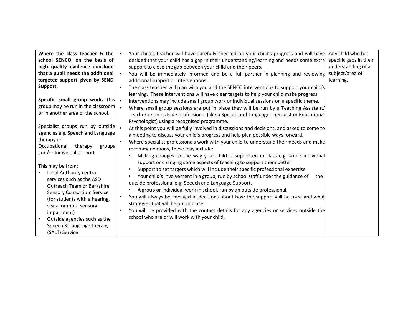| Where the class teacher & the      |           | Your child's teacher will have carefully checked on your child's progress and will have      | Any child who has      |
|------------------------------------|-----------|----------------------------------------------------------------------------------------------|------------------------|
|                                    |           |                                                                                              |                        |
| school SENCO, on the basis of      |           | decided that your child has a gap in their understanding/learning and needs some extra       | specific gaps in their |
| high quality evidence conclude     |           | support to close the gap between your child and their peers.                                 | understanding of a     |
| that a pupil needs the additional  |           | You will be immediately informed and be a full partner in planning and reviewing             | subject/area of        |
| targeted support given by SEND     |           | additional support or interventions.                                                         | learning.              |
| Support.                           | $\bullet$ | The class teacher will plan with you and the SENCO interventions to support your child's     |                        |
|                                    |           | learning. These interventions will have clear targets to help your child make progress.      |                        |
| Specific small group work. This  . |           | Interventions may include small group work or individual sessions on a specific theme.       |                        |
| group may be run in the classroom  |           | Where small group sessions are put in place they will be run by a Teaching Assistant/        |                        |
| or in another area of the school.  |           | Teacher or an outside professional (like a Speech and Language Therapist or Educational      |                        |
|                                    |           | Psychologist) using a recognised programme.                                                  |                        |
| Specialist groups run by outside   |           |                                                                                              |                        |
| agencies e.g. Speech and Language  |           | At this point you will be fully involved in discussions and decisions, and asked to come to  |                        |
| therapy or                         |           | a meeting to discuss your child's progress and help plan possible ways forward.              |                        |
|                                    | $\bullet$ | Where specialist professionals work with your child to understand their needs and make       |                        |
| Occupational<br>therapy<br>groups  |           | recommendations, these may include:                                                          |                        |
| and/or Individual support          |           | Making changes to the way your child is supported in class e.g. some individual              |                        |
|                                    |           | support or changing some aspects of teaching to support them better                          |                        |
| This may be from:                  |           | Support to set targets which will include their specific professional expertise<br>$\bullet$ |                        |
| Local Authority central            |           | Your child's involvement in a group, run by school staff under the guidance of<br>the<br>٠   |                        |
| services such as the ASD           |           | outside professional e.g. Speech and Language Support.                                       |                        |
| Outreach Team or Berkshire         |           | ٠                                                                                            |                        |
| <b>Sensory Consortium Service</b>  |           | A group or individual work in school, run by an outside professional.                        |                        |
| (for students with a hearing,      | $\bullet$ | You will always be involved in decisions about how the support will be used and what         |                        |
| visual or multi-sensory            |           | strategies that will be put in place.                                                        |                        |
| impairment)                        | $\bullet$ | You will be provided with the contact details for any agencies or services outside the       |                        |
| Outside agencies such as the       |           | school who are or will work with your child.                                                 |                        |
| Speech & Language therapy          |           |                                                                                              |                        |
| (SALT) Service                     |           |                                                                                              |                        |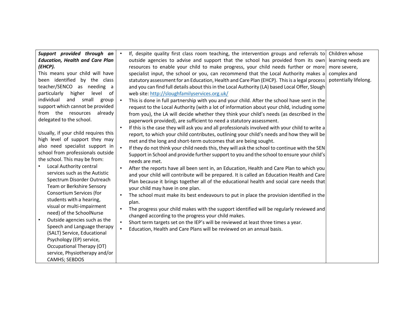| Support provided through an<br>$\bullet$<br><b>Education, Health and Care Plan</b><br>(EHCP).<br>This means your child will have<br>been identified by the class<br>teacher/SENCO as needing a<br>particularly<br>higher<br>level<br>of<br>individual<br>and small<br>group<br>$\bullet$<br>support which cannot be provided<br>from the resources<br>already<br>delegated to the school.<br>$\bullet$<br>Usually, if your child requires this<br>high level of support they may<br>also need specialist support in<br>$\bullet$<br>school from professionals outside<br>the school. This may be from:<br>Local Authority central<br>$\bullet$<br>services such as the Autistic<br>Spectrum Disorder Outreach<br>Team or Berkshire Sensory<br>Consortium Services (for<br>$\bullet$<br>students with a hearing,<br>visual or multi-impairment<br>$\bullet$<br>need) of the SchoolNurse<br>Outside agencies such as the<br>$\bullet$<br>Speech and Language therapy<br>$\bullet$<br>(SALT) Service, Educational<br>Psychology (EP) service,<br>Occupational Therapy (OT)<br>service, Physiotherapy and/or<br>CAMHS; SEBDOS | If, despite quality first class room teaching, the intervention groups and referrals to<br>outside agencies to advise and support that the school has provided from its own<br>resources to enable your child to make progress, your child needs further or more<br>specialist input, the school or you, can recommend that the Local Authority makes a<br>statutory assessment for an Education, Health and Care Plan (EHCP). This is a legal process<br>and you can find full details about this in the Local Authority (LA) based Local Offer, Slough<br>web site: http://sloughfamilyservices.org.uk/<br>This is done in full partnership with you and your child. After the school have sent in the<br>request to the Local Authority (with a lot of information about your child, including some<br>from you), the LA will decide whether they think your child's needs (as described in the<br>paperwork provided), are sufficient to need a statutory assessment.<br>If this is the case they will ask you and all professionals involved with your child to write a<br>report, to which your child contributes, outlining your child's needs and how they will be<br>met and the long and short-term outcomes that are being sought.<br>If they do not think your child needs this, they will ask the school to continue with the SEN<br>Support in School and provide further support to you and the school to ensure your child's<br>needs are met.<br>After the reports have all been sent in, an Education, Health and Care Plan to which you<br>and your child will contribute will be prepared. It is called an Education Health and Care<br>Plan because it brings together all of the educational health and social care needs that<br>your child may have in one plan.<br>The school must make its best endeavours to put in place the provision identified in the<br>plan.<br>The progress your child makes with the support identified will be regularly reviewed and<br>changed according to the progress your child makes.<br>Short term targets set on the IEP's will be reviewed at least three times a year.<br>Education, Health and Care Plans will be reviewed on an annual basis. | Children whose<br>learning needs are<br>more severe,<br>complex and<br>potentially lifelong. |
|---------------------------------------------------------------------------------------------------------------------------------------------------------------------------------------------------------------------------------------------------------------------------------------------------------------------------------------------------------------------------------------------------------------------------------------------------------------------------------------------------------------------------------------------------------------------------------------------------------------------------------------------------------------------------------------------------------------------------------------------------------------------------------------------------------------------------------------------------------------------------------------------------------------------------------------------------------------------------------------------------------------------------------------------------------------------------------------------------------------------------|----------------------------------------------------------------------------------------------------------------------------------------------------------------------------------------------------------------------------------------------------------------------------------------------------------------------------------------------------------------------------------------------------------------------------------------------------------------------------------------------------------------------------------------------------------------------------------------------------------------------------------------------------------------------------------------------------------------------------------------------------------------------------------------------------------------------------------------------------------------------------------------------------------------------------------------------------------------------------------------------------------------------------------------------------------------------------------------------------------------------------------------------------------------------------------------------------------------------------------------------------------------------------------------------------------------------------------------------------------------------------------------------------------------------------------------------------------------------------------------------------------------------------------------------------------------------------------------------------------------------------------------------------------------------------------------------------------------------------------------------------------------------------------------------------------------------------------------------------------------------------------------------------------------------------------------------------------------------------------------------------------------------------------------------------------------------------------------------------------------------------------------------------------------------------------------------------------------|----------------------------------------------------------------------------------------------|
|---------------------------------------------------------------------------------------------------------------------------------------------------------------------------------------------------------------------------------------------------------------------------------------------------------------------------------------------------------------------------------------------------------------------------------------------------------------------------------------------------------------------------------------------------------------------------------------------------------------------------------------------------------------------------------------------------------------------------------------------------------------------------------------------------------------------------------------------------------------------------------------------------------------------------------------------------------------------------------------------------------------------------------------------------------------------------------------------------------------------------|----------------------------------------------------------------------------------------------------------------------------------------------------------------------------------------------------------------------------------------------------------------------------------------------------------------------------------------------------------------------------------------------------------------------------------------------------------------------------------------------------------------------------------------------------------------------------------------------------------------------------------------------------------------------------------------------------------------------------------------------------------------------------------------------------------------------------------------------------------------------------------------------------------------------------------------------------------------------------------------------------------------------------------------------------------------------------------------------------------------------------------------------------------------------------------------------------------------------------------------------------------------------------------------------------------------------------------------------------------------------------------------------------------------------------------------------------------------------------------------------------------------------------------------------------------------------------------------------------------------------------------------------------------------------------------------------------------------------------------------------------------------------------------------------------------------------------------------------------------------------------------------------------------------------------------------------------------------------------------------------------------------------------------------------------------------------------------------------------------------------------------------------------------------------------------------------------------------|----------------------------------------------------------------------------------------------|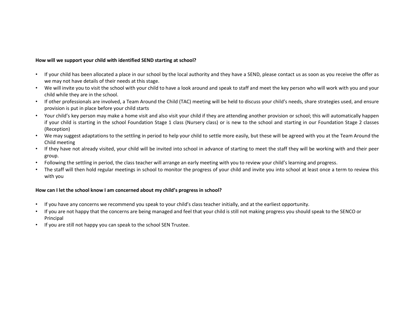#### How will we support your child with identified SEND starting at school?

- If your child has been allocated a place in our school by the local authority and they have a SEND, please contact us as soon as you receive the offer as we may not have details of their needs at this stage.
- We will invite you to visit the school with your child to have a look around and speak to staff and meet the key person who will work with you and your child while they are in the school.
- If other professionals are involved, a Team Around the Child (TAC) meeting will be held to discuss your child's needs, share strategies used, and ensure provision is put in place before your child starts
- Your child's key person may make a home visit and also visit your child if they are attending another provision or school; this will automatically happen if your child is starting in the school Foundation Stage 1 class (Nursery class) or is new to the school and starting in our Foundation Stage 2 classes (Reception)
- We may suggest adaptations to the settling in period to help your child to settle more easily, but these will be agreed with you at the Team Around the Child meeting
- If they have not already visited, your child will be invited into school in advance of starting to meet the staff they will be working with and their peer group.
- Following the settling in period, the class teacher will arrange an early meeting with you to review your child's learning and progress.
- The staff will then hold regular meetings in school to monitor the progress of your child and invite you into school at least once a term to review this with you

# How can I let the school know I am concerned about my child's progress in school?

- If you have any concerns we recommend you speak to your child's class teacher initially, and at the earliest opportunity.
- If you are not happy that the concerns are being managed and feel that your child is still not making progress you should speak to the SENCO or Principal
- If you are still not happy you can speak to the school SEN Trustee.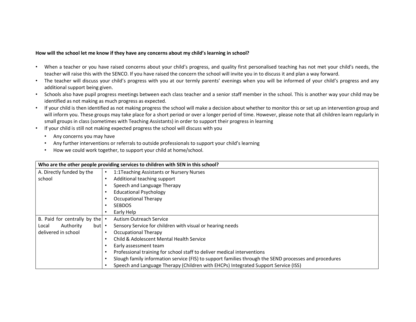#### How will the school let me know if they have any concerns about my child's learning in school?

- When a teacher or you have raised concerns about your child's progress, and quality first personalised teaching has not met your child's needs, the teacher will raise this with the SENCO. If you have raised the concern the school will invite you in to discuss it and plan a way forward.
- The teacher will discuss your child's progress with you at our termly parents' evenings when you will be informed of your child's progress and any additional support being given.
- Schools also have pupil progress meetings between each class teacher and a senior staff member in the school. This is another way your child may be identified as not making as much progress as expected.
- If your child is then identified as not making progress the school will make a decision about whether to monitor this or set up an intervention group and will inform you. These groups may take place for a short period or over a longer period of time. However, please note that all children learn regularly in small groups in class (sometimes with Teaching Assistants) in order to support their progress in learning
- If your child is still not making expected progress the school will discuss with you
	- Any concerns you may have
	- Any further interventions or referrals to outside professionals to support your child's learning
	- How we could work together, to support your child at home/school.

| Who are the other people providing services to children with SEN in this school? |                                                                                                       |  |
|----------------------------------------------------------------------------------|-------------------------------------------------------------------------------------------------------|--|
| A. Directly funded by the                                                        | 1:1Teaching Assistants or Nursery Nurses<br>$\bullet$                                                 |  |
| school                                                                           | Additional teaching support                                                                           |  |
|                                                                                  | Speech and Language Therapy                                                                           |  |
|                                                                                  | <b>Educational Psychology</b>                                                                         |  |
|                                                                                  | <b>Occupational Therapy</b>                                                                           |  |
|                                                                                  | <b>SEBDOS</b>                                                                                         |  |
|                                                                                  | Early Help<br>٠                                                                                       |  |
| B. Paid for centrally by the $\cdot$                                             | Autism Outreach Service                                                                               |  |
| Authority<br>but<br>Local                                                        | Sensory Service for children with visual or hearing needs                                             |  |
| delivered in school                                                              | Occupational Therapy<br>٠                                                                             |  |
|                                                                                  | Child & Adolescent Mental Health Service<br>٠                                                         |  |
|                                                                                  | Early assessment team                                                                                 |  |
|                                                                                  | Professional training for school staff to deliver medical interventions                               |  |
|                                                                                  | Slough family information service (FIS) to support families through the SEND processes and procedures |  |
|                                                                                  | Speech and Language Therapy (Children with EHCPs) Integrated Support Service (ISS)                    |  |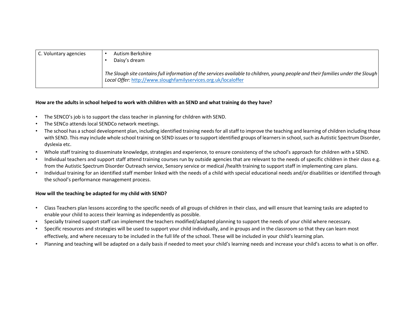| C. Voluntary agencies | Autism Berkshire<br>Daisy's dream                                                                                                                                                                   |
|-----------------------|-----------------------------------------------------------------------------------------------------------------------------------------------------------------------------------------------------|
|                       | The Slough site contains full information of the services available to children, young people and their families under the Slough<br>Local Offer: http://www.sloughfamilyservices.org.uk/localoffer |

#### How are the adults in school helped to work with children with an SEND and what training do they have?

- The SENCO's job is to support the class teacher in planning for children with SEND.
- The SENCo attends local SENDCo network meetings.
- The school has a school development plan, including identified training needs for all staff to improve the teaching and learning of children including those with SEND. This may include whole school training on SEND issues or to support identified groups of learners in school, such as Autistic Spectrum Disorder, dyslexia etc.
- Whole staff training to disseminate knowledge, strategies and experience, to ensure consistency of the school's approach for children with a SEND.
- Individual teachers and support staff attend training courses run by outside agencies that are relevant to the needs of specific children in their class e.g. from the Autistic Spectrum Disorder Outreach service, Sensory service or medical /health training to support staff in implementing care plans.
- Individual training for an identified staff member linked with the needs of a child with special educational needs and/or disabilities or identified through the school's performance management process.

# How will the teaching be adapted for my child with SEND?

- Class Teachers plan lessons according to the specific needs of all groups of children in their class, and will ensure that learning tasks are adapted to enable your child to access their learning as independently as possible.
- Specially trained support staff can implement the teachers modified/adapted planning to support the needs of your child where necessary.
- Specific resources and strategies will be used to support your child individually, and in groups and in the classroom so that they can learn most effectively, and where necessary to be included in the full life of the school. These will be included in your child's learning plan.
- Planning and teaching will be adapted on a daily basis if needed to meet your child's learning needs and increase your child's access to what is on offer.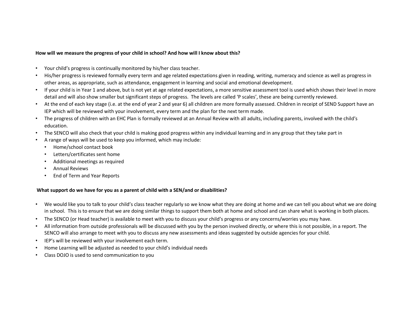#### How will we measure the progress of your child in school? And how will I know about this?

- Your child's progress is continually monitored by his/her class teacher.
- His/her progress is reviewed formally every term and age related expectations given in reading, writing, numeracy and science as well as progress in other areas, as appropriate, such as attendance, engagement in learning and social and emotional development.
- If your child is in Year 1 and above, but is not yet at age related expectations, a more sensitive assessment tool is used which shows their level in more detail and will also show smaller but significant steps of progress. The levels are called 'P scales', these are being currently reviewed.
- At the end of each key stage (i.e. at the end of year 2 and year 6) all children are more formally assessed. Children in receipt of SEND Support have an IEP which will be reviewed with your involvement, every term and the plan for the next term made.
- The progress of children with an EHC Plan is formally reviewed at an Annual Review with all adults, including parents, involved with the child's education.
- The SENCO will also check that your child is making good progress within any individual learning and in any group that they take part in
- A range of ways will be used to keep you informed, which may include:
	- Home/school contact book
	- Letters/certificates sent home
	- Additional meetings as required
	- Annual Reviews
	- End of Term and Year Reports

#### What support do we have for you as a parent of child with a SEN/and or disabilities?

- We would like you to talk to your child's class teacher regularly so we know what they are doing at home and we can tell you about what we are doing in school. This is to ensure that we are doing similar things to support them both at home and school and can share what is working in both places.
- The SENCO (or Head teacher) is available to meet with you to discuss your child's progress or any concerns/worries you may have.
- All information from outside professionals will be discussed with you by the person involved directly, or where this is not possible, in a report. The SENCO will also arrange to meet with you to discuss any new assessments and ideas suggested by outside agencies for your child.
- IEP's will be reviewed with your involvement each term.
- Home Learning will be adjusted as needed to your child's individual needs
- Class DOJO is used to send communication to you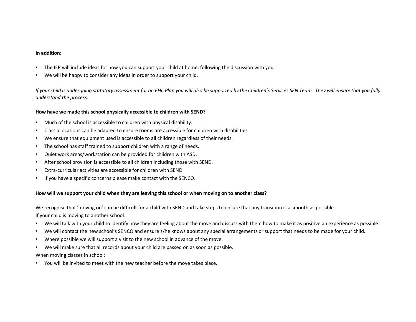#### In addition:

- The IEP will include ideas for how you can support your child at home, following the discussion with you.
- We will be happy to consider any ideas in order to support your child.

If your child is undergoing statutory assessment for an EHC Plan you will also be supported by the Children's Services SEN Team. They will ensure that you fully understand the process.

#### How have we made this school physically accessible to children with SEND?

- Much of the school is accessible to children with physical disability.
- Class allocations can be adapted to ensure rooms are accessible for children with disabilities
- We ensure that equipment used is accessible to all children regardless of their needs.
- The school has staff trained to support children with a range of needs.
- Quiet work areas/workstation can be provided for children with ASD.
- After school provision is accessible to all children including those with SEND.
- Extra-curricular activities are accessible for children with SEND.
- If you have a specific concerns please make contact with the SENCO.

#### How will we support your child when they are leaving this school or when moving on to another class?

We recognise that 'moving on' can be difficult for a child with SEND and take steps to ensure that any transition is a smooth as possible.

If your child is moving to another school:

- We will talk with your child to identify how they are feeling about the move and discuss with them how to make it as positive an experience as possible.
- We will contact the new school's SENCO and ensure s/he knows about any special arrangements or support that needs to be made for your child.
- Where possible we will support a visit to the new school in advance of the move.
- We will make sure that all records about your child are passed on as soon as possible.

When moving classes in school:

• You will be invited to meet with the new teacher before the move takes place.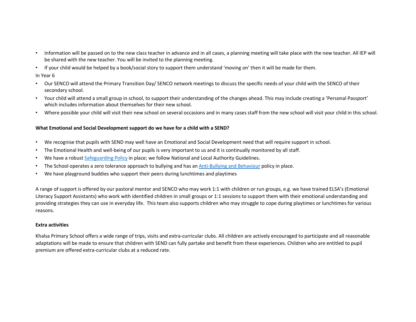- Information will be passed on to the new class teacher in advance and in all cases, a planning meeting will take place with the new teacher. All IEP will be shared with the new teacher. You will be invited to the planning meeting.
- If your child would be helped by a book/social story to support them understand 'moving on' then it will be made for them.

In Year 6

- Our SENCO will attend the Primary Transition Day/ SENCO network meetings to discuss the specific needs of your child with the SENCO of their secondary school.
- Your child will attend a small group in school, to support their understanding of the changes ahead. This may include creating a 'Personal Passport' which includes information about themselves for their new school.
- Where possible your child will visit their new school on several occasions and in many cases staff from the new school will visit your child in this school.

# What Emotional and Social Development support do we have for a child with a SEND?

- We recognise that pupils with SEND may well have an Emotional and Social Development need that will require support in school.
- The Emotional Health and well-being of our pupils is very important to us and it is continually monitored by all staff.
- We have a robust Safeguarding Policy in place; we follow National and Local Authority Guidelines.
- The School operates a zero tolerance approach to bullying and has an Anti-Bullying and Behaviour policy in place.
- We have playground buddies who support their peers during lunchtimes and playtimes

A range of support is offered by our pastoral mentor and SENCO who may work 1:1 with children or run groups, e.g. we have trained ELSA's (Emotional Literacy Support Assistants) who work with identified children in small groups or 1:1 sessions to support them with their emotional understanding and providing strategies they can use in everyday life. This team also supports children who may struggle to cope during playtimes or lunchtimes for various reasons.

# Extra activities

Khalsa Primary School offers a wide range of trips, visits and extra-curricular clubs. All children are actively encouraged to participate and all reasonable adaptations will be made to ensure that children with SEND can fully partake and benefit from these experiences. Children who are entitled to pupil premium are offered extra-curricular clubs at a reduced rate.